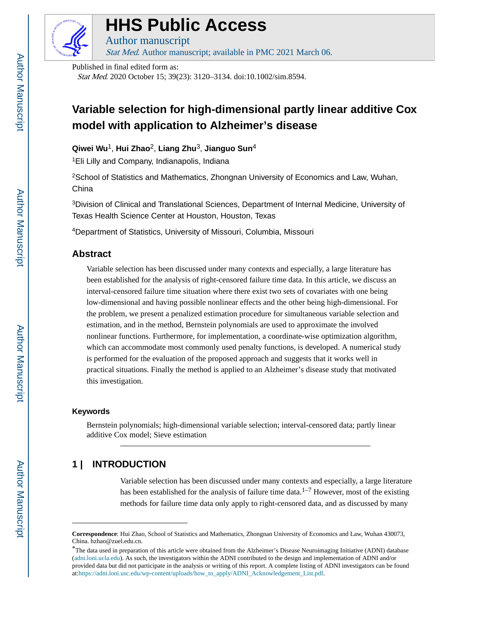

# **HHS Public Access**

Author manuscript Stat Med. Author manuscript; available in PMC 2021 March 06.

Published in final edited form as:

Stat Med. 2020 October 15; 39(23): 3120–3134. doi:10.1002/sim.8594.

## **Variable selection for high-dimensional partly linear additive Cox model with application to Alzheimer's disease**

**Qiwei Wu**1, **Hui Zhao**2, **Liang Zhu**3, **Jianguo Sun**<sup>4</sup>

<sup>1</sup>Eli Lilly and Company, Indianapolis, Indiana

<sup>2</sup>School of Statistics and Mathematics, Zhongnan University of Economics and Law, Wuhan, China

<sup>3</sup>Division of Clinical and Translational Sciences, Department of Internal Medicine, University of Texas Health Science Center at Houston, Houston, Texas

<sup>4</sup>Department of Statistics, University of Missouri, Columbia, Missouri

### **Abstract**

Variable selection has been discussed under many contexts and especially, a large literature has been established for the analysis of right-censored failure time data. In this article, we discuss an interval-censored failure time situation where there exist two sets of covariates with one being low-dimensional and having possible nonlinear effects and the other being high-dimensional. For the problem, we present a penalized estimation procedure for simultaneous variable selection and estimation, and in the method, Bernstein polynomials are used to approximate the involved nonlinear functions. Furthermore, for implementation, a coordinate-wise optimization algorithm, which can accommodate most commonly used penalty functions, is developed. A numerical study is performed for the evaluation of the proposed approach and suggests that it works well in practical situations. Finally the method is applied to an Alzheimer's disease study that motivated this investigation.

#### **Keywords**

Bernstein polynomials; high-dimensional variable selection; interval-censored data; partly linear additive Cox model; Sieve estimation

## **1 | INTRODUCTION**

Variable selection has been discussed under many contexts and especially, a large literature has been established for the analysis of failure time data. $1-7$  However, most of the existing methods for failure time data only apply to right-censored data, and as discussed by many

**Correspondence**: Hui Zhao, School of Statistics and Mathematics, Zhongnan University of Economics and Law, Wuhan 430073, China. hzhao@zuel.edu.cn.

<sup>\*</sup>The data used in preparation of this article were obtained from the Alzheimer's Disease Neuroimaging Initiative (ADNI) database ([adni.loni.ucla.edu\)](http://adni.loni.ucla.edu). As such, the investigators within the ADNI contributed to the design and implementation of ADNI and/or provided data but did not participate in the analysis or writing of this report. A complete listing of ADNI investigators can be found at[:https://adni.loni.usc.edu/wp-content/uploads/how\\_to\\_apply/ADNI\\_Acknowledgement\\_List.pdf](https://adni.loni.usc.edu/wp-content/uploads/how_to_apply/ADNI_Acknowledgement_List.pdf).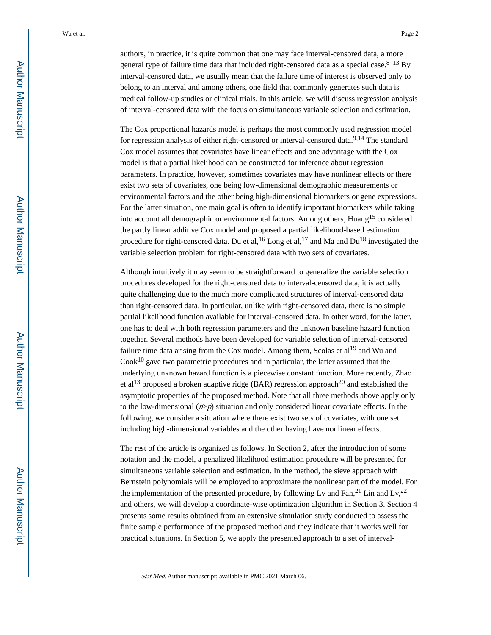authors, in practice, it is quite common that one may face interval-censored data, a more general type of failure time data that included right-censored data as a special case.<sup>8–13</sup> By interval-censored data, we usually mean that the failure time of interest is observed only to belong to an interval and among others, one field that commonly generates such data is medical follow-up studies or clinical trials. In this article, we will discuss regression analysis of interval-censored data with the focus on simultaneous variable selection and estimation.

The Cox proportional hazards model is perhaps the most commonly used regression model for regression analysis of either right-censored or interval-censored data.<sup>9,14</sup> The standard Cox model assumes that covariates have linear effects and one advantage with the Cox model is that a partial likelihood can be constructed for inference about regression parameters. In practice, however, sometimes covariates may have nonlinear effects or there exist two sets of covariates, one being low-dimensional demographic measurements or environmental factors and the other being high-dimensional biomarkers or gene expressions. For the latter situation, one main goal is often to identify important biomarkers while taking into account all demographic or environmental factors. Among others, Huang<sup>15</sup> considered the partly linear additive Cox model and proposed a partial likelihood-based estimation procedure for right-censored data. Du et al, <sup>16</sup> Long et al, <sup>17</sup> and Ma and Du<sup>18</sup> investigated the variable selection problem for right-censored data with two sets of covariates.

Although intuitively it may seem to be straightforward to generalize the variable selection procedures developed for the right-censored data to interval-censored data, it is actually quite challenging due to the much more complicated structures of interval-censored data than right-censored data. In particular, unlike with right-censored data, there is no simple partial likelihood function available for interval-censored data. In other word, for the latter, one has to deal with both regression parameters and the unknown baseline hazard function together. Several methods have been developed for variable selection of interval-censored failure time data arising from the Cox model. Among them, Scolas et al<sup>19</sup> and Wu and  $Cook<sup>10</sup>$  gave two parametric procedures and in particular, the latter assumed that the underlying unknown hazard function is a piecewise constant function. More recently, Zhao et al<sup>13</sup> proposed a broken adaptive ridge (BAR) regression approach<sup>20</sup> and established the asymptotic properties of the proposed method. Note that all three methods above apply only to the low-dimensional  $(n>p)$  situation and only considered linear covariate effects. In the following, we consider a situation where there exist two sets of covariates, with one set including high-dimensional variables and the other having have nonlinear effects.

The rest of the article is organized as follows. In Section 2, after the introduction of some notation and the model, a penalized likelihood estimation procedure will be presented for simultaneous variable selection and estimation. In the method, the sieve approach with Bernstein polynomials will be employed to approximate the nonlinear part of the model. For the implementation of the presented procedure, by following Lv and Fan,<sup>21</sup> Lin and Lv,<sup>22</sup> and others, we will develop a coordinate-wise optimization algorithm in Section 3. Section 4 presents some results obtained from an extensive simulation study conducted to assess the finite sample performance of the proposed method and they indicate that it works well for practical situations. In Section 5, we apply the presented approach to a set of interval-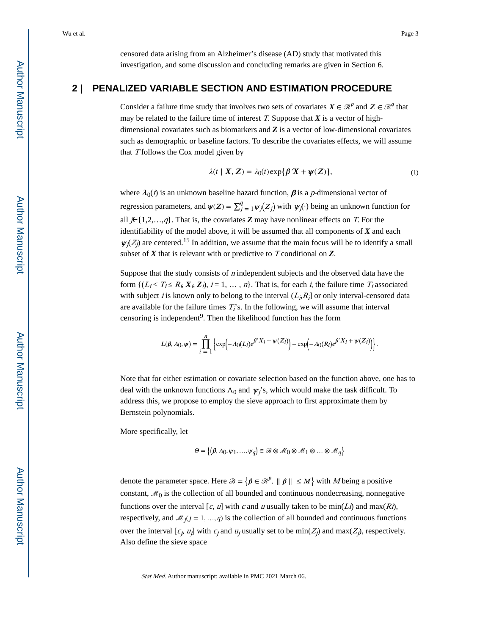censored data arising from an Alzheimer's disease (AD) study that motivated this investigation, and some discussion and concluding remarks are given in Section 6.

#### **2 | PENALIZED VARIABLE SECTION AND ESTIMATION PROCEDURE**

investigation, and some discussion and concluding remarks are given in Section 6.<br> **CONSIMENTION AND ESTIMATION PROCEDURE**<br>
Consider a failure time study that involves two sets of covariates  $X \in \mathcal{R}^p$  and  $Z \in \mathcal{R}^q$  that may be related to the failure time of interest  $T$ . Suppose that  $X$  is a vector of highdimensional covariates such as biomarkers and *Z* is a vector of low-dimensional covariates such as demographic or baseline factors. To describe the covariates effects, we will assume that T follows the Cox model given by

$$
\lambda(t \mid \mathbf{X}, \mathbf{Z}) = \lambda_0(t) \exp{\{\beta' \mathbf{X} + \boldsymbol{\psi}(\mathbf{Z})\}},\tag{1}
$$

where  $\lambda_0(t)$  is an unknown baseline hazard function,  $\beta$  is a p-dimensional vector of regression parameters, and  $\psi(Z) = \sum_{j=1}^{q} \psi_j(Z_j)$  with  $\psi_j(\cdot)$  being an unknown function for all  $f\in \{1,2,\ldots,q\}$ . That is, the covariates **Z** may have nonlinear effects on T. For the identifiability of the model above, it will be assumed that all components of *X* and each  $\psi_j(Z_j)$  are centered.<sup>15</sup> In addition, we assume that the main focus will be to identify a small subset of *X* that is relevant with or predictive to *T* conditional on *Z*.

Suppose that the study consists of  $n$  independent subjects and the observed data have the form  $\{ (L_i < T_i \mid R_i, X_i, Z_j), i = 1, ..., n \}.$  That is, for each *i*, the failure time  $T_i$  associated with subject *i* is known only to belong to the interval  $(L<sub>j</sub>, R<sub>i</sub>]$  or only interval-censored data are available for the failure times  $T_i$ 's. In the following, we will assume that interval censoring is independent<sup>9</sup>. Then the likelihood function has the form

$$
L(\beta, \Lambda_0, \psi) = \prod_{i=1}^n \left\{ \exp\left(-\Lambda_0(L_i)e^{\beta'X_i + \psi(Z_i)}\right) - \exp\left(-\Lambda_0(R_i)e^{\beta'X_i + \psi(Z_i)}\right) \right\}.
$$

Note that for either estimation or covariate selection based on the function above, one has to deal with the unknown functions  $\Lambda_0$  and  $\psi_j$ 's, which would make the task difficult. To address this, we propose to employ the sieve approach to first approximate them by Bernstein polynomials.

More specifically, let

$$
\Theta = \{ (\beta, \Lambda_0, \psi_1, ..., \psi_q) \in \mathcal{B} \otimes \mathcal{M}_0 \otimes \mathcal{M}_1 \otimes ... \otimes \mathcal{M}_q \}
$$

denote the parameter space. Here  $\mathcal{B} = \{ \beta \in \mathcal{R}^p, \parallel \beta \parallel \leq M \}$  with *M* being a positive constant,  $\mathcal{M}_0$  is the collection of all bounded and continuous nondecreasing, nonnegative functions over the interval [c, u] with c and u usually taken to be min(Li) and max(Ri), respectively, and  $\mathcal{M}_j$  ( $j = 1, ..., q$ ) is the collection of all bounded and continuous functions over the interval  $[c_j, u_j]$  with  $c_j$  and  $u_j$  usually set to be  $min(Z_j)$  and  $max(Z_j)$ , respectively. Also define the sieve space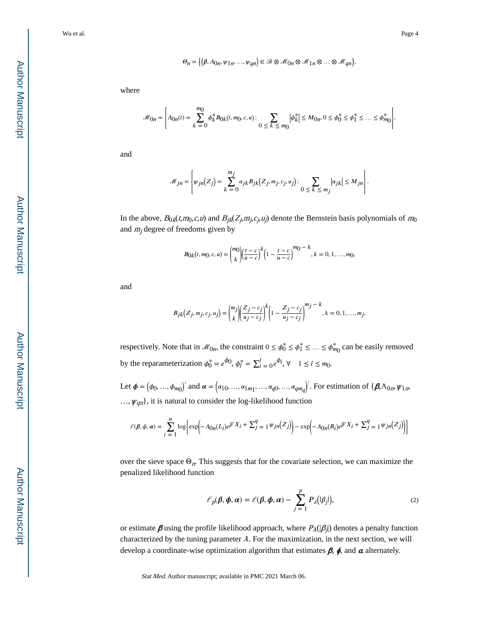$$
\Theta_n = \left\{ (\beta, \Lambda_{0n}, \psi_{1n}, \ldots, \psi_{qn}) \in \mathcal{B} \otimes \mathcal{M}_{0n} \otimes \mathcal{M}_{1n} \otimes \ldots \otimes \mathcal{M}_{qn} \right\},\
$$

where

$$
\mathcal{M}_{0n} = \left\{ \Lambda_{0n}(t) = \sum_{k=0}^{m_0} \phi_k^* B_{0k}(t, m_0, c, u) : \sum_{0 \le k \le m_0} \left| \phi_k^* \right| \le M_{0n}, 0 \le \phi_0^* \le \phi_1^* \le \dots \le \phi_{m_0}^* \right\},
$$

and

$$
\mathcal{M}_{jn} = \left\{ \psi_{jn}(Z_j) = \sum_{k=0}^{mj} \alpha_{jk} B_{jk}(Z_j, m_j, c_j, u_j) : \sum_{0 \le k \le m_j} |\alpha_{jk}| \le M_{jn} \right\}.
$$

In the above,  $B_{0k}(t, m_0, c, u)$  and  $B_{jk}(Z_j, m_j, c_j, u_j)$  denote the Bernstein basis polynomials of  $m_0$ and  $m_j$  degree of freedoms given by

$$
B_{0k}(t, m_0, c, u) = {m_0 \choose k} \left(\frac{t-c}{u-c}\right)^k \left(1 - \frac{t-c}{u-c}\right)^{m_0 - k}, k = 0, 1, ..., m_0,
$$

and

$$
B_{jk}(Z_j, m_j, c_j, u_j) = {m_j \choose k} \left(\frac{Z_j - c_j}{u_j - c_j}\right)^k \left(1 - \frac{Z_j - c_j}{u_j - c_j}\right)^{m_j - k}, k = 0, 1, ..., m_j,
$$

respectively. Note that in  $\mathcal{M}_{0n}$ , the constraint  $0 \le \phi_0^* \le \phi_1^* \le ... \le \phi_{m_0}^*$  can be easily removed by the reparameterization  $\phi_0^* = e^{\phi_0}, \phi_l^* = \sum_{i=0}^l e^{\phi_i}, \forall 1 \le l \le m_0$ .

Let  $\boldsymbol{\phi} = (\phi_0, ..., \phi_{m_0})'$  and  $\boldsymbol{\alpha} = (\alpha_{10}, ..., \alpha_{1m_1}, ..., \alpha_{q0}, ..., \alpha_{qm_q})'$ . For estimation of  $\{\boldsymbol{\beta}, \Lambda_{0n}, \boldsymbol{\psi}_{1n}\}$  $..., \psi_{qn}$ , it is natural to consider the log-likelihood function

$$
\ell(\beta,\phi,\alpha) = \sum_{i=1}^{n} \log \left[ \exp \left( -A_{0n}(L_i)e^{\beta'X_i} + \sum_{j=1}^{q} \psi_{jn}(Z_j) \right) - \exp \left( -A_{0n}(R_i)e^{\beta'X_i} + \sum_{j=1}^{q} \psi_{jn}(Z_j) \right) \right]
$$

over the sieve space  $\Theta_n$ . This suggests that for the covariate selection, we can maximize the penalized likelihood function

$$
\mathcal{E}_p(\boldsymbol{\beta}, \boldsymbol{\phi}, \boldsymbol{\alpha}) = \mathcal{E}(\boldsymbol{\beta}, \boldsymbol{\phi}, \boldsymbol{\alpha}) - \sum_{j=1}^p P_{\lambda}(|\beta_j|),
$$
\n(2)

or estimate  $\beta$  using the profile likelihood approach, where  $P_{\lambda}(|\beta_j|)$  denotes a penalty function characterized by the tuning parameter  $\lambda$ . For the maximization, in the next section, we will develop a coordinate-wise optimization algorithm that estimates  $\beta$ ,  $\phi$ , and  $\alpha$  alternately.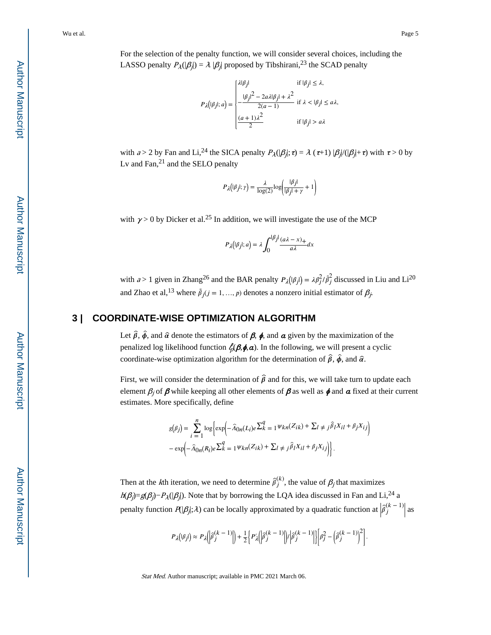For the selection of the penalty function, we will consider several choices, including the LASSO penalty  $P_{\lambda}(|\beta_j|) = \lambda |\beta_j|$  proposed by Tibshirani,<sup>23</sup> the SCAD penalty

$$
P_{\lambda}\big(|\beta_j|;a\big)=\begin{cases} \lambda|\beta_j| & \text{if }|\beta_j|\leq \lambda,\\ -\frac{|\beta_j|^2-2a\lambda|\beta_j|+\lambda^2}{2(a-1)} & \text{if } \lambda<|\beta_j|\leq a\lambda,\\ \frac{(a+1)\lambda^2}{2} & \text{if }|\beta_j|> a\lambda \end{cases}
$$

with  $a > 2$  by Fan and Li,<sup>24</sup> the SICA penalty  $P_{\lambda}(|\beta_j|; \tau) = \lambda (\tau+1) |\beta_j|/(|\beta_j|+\tau)$  with  $\tau > 0$  by Lv and Fan, $^{21}$  and the SELO penalty

$$
P_{\lambda}(|\beta_j|; \gamma) = \frac{\lambda}{\log(2)} \log \left( \frac{|\beta_j|}{|\beta_j| + \gamma} + 1 \right)
$$

with  $\gamma > 0$  by Dicker et al.<sup>25</sup> In addition, we will investigate the use of the MCP

$$
P_{\lambda}(1|\beta_j|;a) = \lambda \int_0^{1} \frac{|\beta_j|}{a\lambda} \frac{(a\lambda - x)_+}{a\lambda} dx
$$

with  $a > 1$  given in Zhang<sup>26</sup> and the BAR penalty  $P_{\lambda}(|\beta_j|) = \lambda \beta_j^2 / \tilde{\beta}_j^2$  discussed in Liu and Li<sup>20</sup> and Zhao et al,<sup>13</sup> where  $\tilde{\beta}_j$  ( $j = 1, ..., p$ ) denotes a nonzero initial estimator of  $\beta_j$ .

## **3 | COORDINATE-WISE OPTIMIZATION ALGORITHM**

Let  $\hat{\beta}$ ,  $\hat{\phi}$ , and  $\hat{\alpha}$  denote the estimators of  $\beta$ ,  $\phi$ , and  $\alpha$  given by the maximization of the penalized log likelihood function  $\mathcal{L}_p(\beta, \phi, \alpha)$ . In the following, we will present a cyclic coordinate-wise optimization algorithm for the determination of  $\hat{\beta}$ ,  $\hat{\phi}$ , and  $\hat{\alpha}$ .

First, we will consider the determination of  $\hat{\beta}$  and for this, we will take turn to update each element  $\beta_j$  of  $\beta$  while keeping all other elements of  $\beta$  as well as  $\phi$  and  $\alpha$  fixed at their current estimates. More specifically, define

$$
g(\beta_j) = \sum_{i=1}^n \log \left\{ \exp\left(-\hat{\Lambda}_{0n}(L_i)e^{\sum_{k=1}^q \psi_{kn}(Z_{ik}) + \sum_{l \neq j} \hat{\beta}_l X_{il} + \beta_j X_{ij}}\right) - \exp\left(-\hat{\Lambda}_{0n}(R_i)e^{\sum_{k=1}^q \psi_{kn}(Z_{ik}) + \sum_{l \neq j} \hat{\beta}_l X_{il} + \beta_j X_{ij}}\right)\right\}.
$$

Then at the *k*th iteration, we need to determine  $\hat{\beta}_j^{(k)}$ , the value of  $\beta_j$  that maximizes  $h(\beta_j) = g(\beta_j) - P_\lambda(|\beta_j|)$ . Note that by borrowing the LQA idea discussed in Fan and Li,<sup>24</sup> a penalty function  $P(|\beta_j|;\lambda)$  can be locally approximated by a quadratic function at  $|\hat{\beta}_j^{(k-1)}|$  as  $\int_{j}^{24} a$ <br>(k - 1) as as

$$
P_{\lambda}(|\beta_j|) \approx P_{\lambda} \left( \left| \hat{\beta}_j^{(k-1)} \right| \right) + \frac{1}{2} \left[ P_{\lambda} \left( \left| \hat{\beta}_j^{(k-1)} \right| \right) / \left| \hat{\beta}_j^{(k-1)} \right| \right] \left[ \beta_j^2 - \left( \hat{\beta}_j^{(k-1)} \right)^2 \right].
$$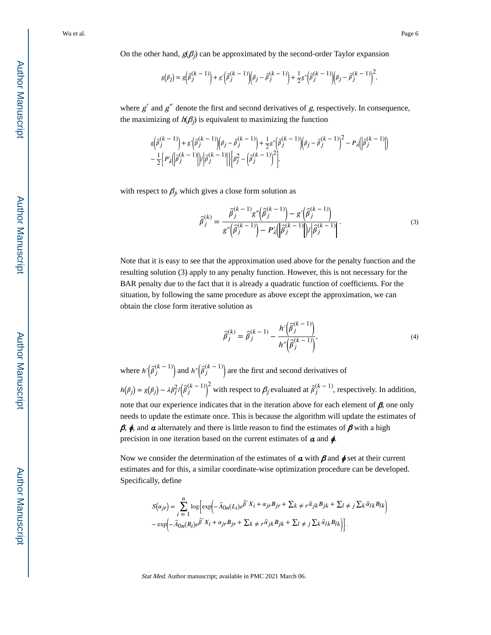On the other hand,  $g(\beta_j)$  can be approximated by the second-order Taylor expansion

$$
g(\beta_j) \approx g\left(\widehat{\beta}_j^{(k-1)}\right) + g'\left(\widehat{\beta}_j^{(k-1)}\right)\left(\beta_j - \widehat{\beta}_j^{(k-1)}\right) + \frac{1}{2}g''\left(\widehat{\beta}_j^{(k-1)}\right)\left(\beta_j - \widehat{\beta}_j^{(k-1)}\right)^2,
$$

where  $g'$  and  $g''$  denote the first and second derivatives of g, respectively. In consequence, the maximizing of  $h(\beta_j)$  is equivalent to maximizing the function

$$
g\left(\widehat{\beta}_j^{(k-1)}\right) + g'\left(\widehat{\beta}_j^{(k-1)}\right)\left(\beta_j - \widehat{\beta}_j^{(k-1)}\right) + \frac{1}{2}g''\left(\widehat{\beta}_j^{(k-1)}\right)\left(\beta_j - \widehat{\beta}_j^{(k-1)}\right)^2 - P_\lambda\left(\widehat{\beta}_j^{(k-1)}\right)
$$
  
- 
$$
\frac{1}{2}\left\{P'_\lambda\left(\left|\widehat{\beta}_j^{(k-1)}\right|\right)/\left|\widehat{\beta}_j^{(k-1)}\right|\right\}\left[\beta_j^2 - \left(\widehat{\beta}_j^{(k-1)}\right)^2\right],
$$

with respect to  $\beta_j$ , which gives a close form solution as

$$
\hat{\beta}_{j}^{(k)} = \frac{\hat{\beta}_{j}^{(k-1)} g''(\hat{\beta}_{j}^{(k-1)}) - g'(\hat{\beta}_{j}^{(k-1)})}{g''(\hat{\beta}_{j}^{(k-1)}) - P'_{\lambda}(|\hat{\beta}_{j}^{(k-1)}|)/|\hat{\beta}_{j}^{(k-1)}|}.
$$
\n(3)

Note that it is easy to see that the approximation used above for the penalty function and the resulting solution (3) apply to any penalty function. However, this is not necessary for the BAR penalty due to the fact that it is already a quadratic function of coefficients. For the situation, by following the same procedure as above except the approximation, we can obtain the close form iterative solution as

$$
\hat{\beta}_{j}^{(k)} = \hat{\beta}_{j}^{(k-1)} - \frac{h'\left(\hat{\beta}_{j}^{(k-1)}\right)}{h''\left(\hat{\beta}_{j}^{(k-1)}\right)},
$$
\n(4)

where  $h'(\hat{\beta}_{j}^{(k-1)})$  and  $h''(\hat{\beta}_{j}^{(k-1)})$  are the first and second derivatives of  $h(\beta_j) = g(\beta_j) - \lambda \beta_j^2 / (\hat{\beta}_j^{(k-1)})^2$  with respect to  $\beta_j$  evaluated at  $\hat{\beta}_j^{(k-1)}$ , res ivatives of<br>  $\binom{k-1}{j}$ , respectively. In addition,<br>
for each element of  $\beta$ , one only note that our experience indicates that in the iteration above for each element of  $\beta$ , one only needs to update the estimate once. This is because the algorithm will update the estimates of  $\beta$ ,  $\phi$ , and  $\alpha$  alternately and there is little reason to find the estimates of  $\beta$  with a high precision in one iteration based on the current estimates of  $\alpha$  and  $\phi$ .

Now we consider the determination of the estimates of  $\alpha$  with  $\beta$  and  $\phi$  set at their current estimates and for this, a similar coordinate-wise optimization procedure can be developed. Specifically, define

$$
S(\alpha_{jr}) = \sum_{i=1}^{n} \log \left\{ \exp\left(-\hat{\Lambda}_{0n}(L_i)e^{\hat{\beta}'}X_i + \alpha_{jr}B_{jr} + \sum_{k \neq r} \hat{\alpha}_{jk}B_{jk} + \sum_{l \neq j} \sum_{k} \hat{\alpha}_{lk}B_{lk}\right) - \exp\left(-\hat{\Lambda}_{0n}(R_i)e^{\hat{\beta}'X_i} + \alpha_{jr}B_{jr} + \sum_{k \neq r} \hat{\alpha}_{jk}B_{jk} + \sum_{l \neq j} \sum_{k} \hat{\alpha}_{lk}B_{lk}\right)\right\}.
$$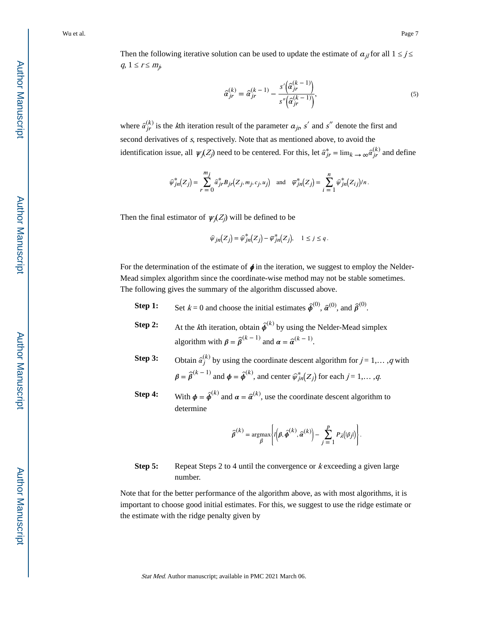$$
\hat{\alpha}_{jr}^{(k)} = \hat{\alpha}_{jr}^{(k-1)} - \frac{s'\left(\hat{\alpha}_{jr}^{(k-1)}\right)}{s''\left(\hat{\alpha}_{jr}^{(k-1)}\right)},\tag{5}
$$

where  $\hat{a}_{jr}^{(k)}$  is the *k*th iteration result of the parameter  $a_{jr} s'$  and s'' denote the first and second derivatives of s, respectively. Note that as mentioned above, to avoid the identification issue, all  $\psi_j(Z_j)$  need to be centered. For this, let  $\hat{\alpha}_{jr}^* = \lim_{k \to \infty} \hat{\alpha}_{jr}^{(k)}$  and define

$$
\widehat{\psi}_{jn}^*[Z_j] = \sum_{r=0}^{m_j} \widehat{\alpha}_{jr}^* B_{jr}(Z_j, m_j, c_j, u_j) \quad \text{and} \quad \overline{\psi}_{jn}^*[Z_j] = \sum_{i=1}^{n} \widehat{\psi}_{jn}^*(Z_{ij})/n.
$$

Then the final estimator of  $\psi_j(Z_j)$  will be defined to be

$$
\widehat{\psi}_{jn}(Z_j) = \widehat{\psi}_{jn}^*(Z_j) - \overline{\psi}_{jn}^*(Z_j), \quad 1 \le j \le q.
$$

For the determination of the estimate of  $\phi$  in the iteration, we suggest to employ the Nelder-Mead simplex algorithm since the coordinate-wise method may not be stable sometimes. The following gives the summary of the algorithm discussed above.

\n- **Step 1:** Set 
$$
k = 0
$$
 and choose the initial estimates  $\hat{\phi}^{(0)}$ ,  $\hat{\alpha}^{(0)}$ , and  $\hat{\beta}^{(0)}$ .
\n- **Step 2:** At the *k*th iteration, obtain  $\hat{\phi}^{(k)}$  by using the Nelder-Mead simplex algorithm with  $\beta = \hat{\beta}^{(k-1)}$  and  $\alpha = \hat{\alpha}^{(k-1)}$ .
\n- **Step 3:** Obtain  $\hat{\alpha}_j^{(k)}$  by using the coordinate descent algorithm for  $j = 1, \ldots, q$  with  $\beta = \hat{\beta}^{(k-1)}$  and  $\phi = \hat{\phi}^{(k)}$ , and center  $\hat{\psi}_{j\eta}^*(Z_j)$  for each  $j = 1, \ldots, q$ .
\n

**Step 4:** With  $\phi = \hat{\phi}^{(k)}$  and  $\alpha = \hat{\alpha}^{(k)}$ , use the coordinate descent algorithm to determine

$$
\widehat{\boldsymbol{\beta}}^{(k)} = \operatorname*{argmax}_{\boldsymbol{\beta}} \left\{ l \left( \boldsymbol{\beta}, \widehat{\boldsymbol{\phi}}^{(k)}, \widehat{\boldsymbol{\alpha}}^{(k)} \right) - \sum_{j=1}^{p} P_{\lambda}(|\beta_j|) \right\}.
$$

**Step 5:** Repeat Steps 2 to 4 until the convergence or *k* exceeding a given large number.

Note that for the better performance of the algorithm above, as with most algorithms, it is important to choose good initial estimates. For this, we suggest to use the ridge estimate or the estimate with the ridge penalty given by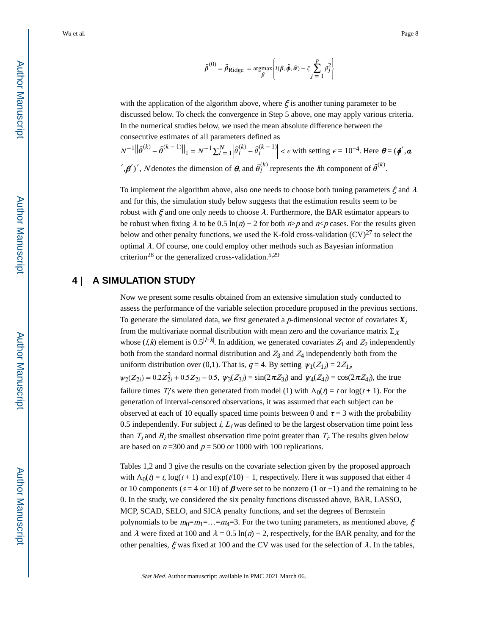$$
\hat{\beta}^{(0)} = \hat{\beta}_{\text{Ridge}} = \underset{\beta}{\text{argmax}} \left\{ l(\beta, \hat{\phi}, \hat{\alpha}) - \xi \sum_{j=1}^{p} \beta_j^2 \right\}
$$

with the application of the algorithm above, where  $\zeta$  is another tuning parameter to be discussed below. To check the convergence in Step 5 above, one may apply various criteria. In the numerical studies below, we used the mean absolute difference between the consecutive estimates of all parameters defined as

 $N^{-1} \left\| \hat{\theta}^{(k)} - \hat{\theta}^{(k-1)} \right\|_1 = N^{-1} \sum_{l=1}^N \left| \hat{\theta}_l^{(k)} - \hat{\theta}_l^{(k-1)} \right| < \epsilon$  with setting  $\epsilon = 10^{-4}$ . Here  $\boldsymbol{\theta} = (\boldsymbol{\phi}', \boldsymbol{\alpha})$  $'$ , $\beta'$ )', N denotes the dimension of  $\theta$ , and  $\hat{\theta}_l^{(k)}$  represents the *l*th component of  $\hat{\theta}^{(k)}$ .

To implement the algorithm above, also one needs to choose both tuning parameters  $\xi$  and  $\lambda$ and for this, the simulation study below suggests that the estimation results seem to be robust with  $\xi$  and one only needs to choose  $\lambda$ . Furthermore, the BAR estimator appears to be robust when fixing  $\lambda$  to be 0.5 ln(n) – 2 for both  $n > p$  and  $n < p$  cases. For the results given below and other penalty functions, we used the K-fold cross-validation  $(CV)^{27}$  to select the optimal λ. Of course, one could employ other methods such as Bayesian information criterion<sup>28</sup> or the generalized cross-validation.<sup>5,29</sup>

#### **4 | A SIMULATION STUDY**

Now we present some results obtained from an extensive simulation study conducted to assess the performance of the variable selection procedure proposed in the previous sections. To generate the simulated data, we first generated a  $p$ -dimensional vector of covariates  $X_i$ from the multivariate normal distribution with mean zero and the covariance matrix  $\Sigma_X$ whose (*l*,*k*) element is 0.5<sup>| $-$ *k*|</sup>. In addition, we generated covariates  $Z_1$  and  $Z_2$  independently both from the standard normal distribution and  $Z_3$  and  $Z_4$  independently both from the uniform distribution over (0,1). That is,  $q = 4$ . By setting  $\psi_1(Z_{1i}) = 2Z_{1i}$ ,  $\psi_2(Z_{2i}) = 0.2Z_{2i}^2 + 0.5Z_{2i} - 0.5$ ,  $\psi_3(Z_{3i}) = \sin(2\pi Z_{3i})$  and  $\psi_4(Z_{4i}) = \cos(2\pi Z_{4i})$ , the true failure times  $T_i$ 's were then generated from model (1) with  $\Lambda_0(t) = t$  or  $\log(t+1)$ . For the generation of interval-censored observations, it was assumed that each subject can be observed at each of 10 equally spaced time points between 0 and  $\tau = 3$  with the probability 0.5 independently. For subject i,  $L_i$  was defined to be the largest observation time point less than  $T_i$  and  $R_i$  the smallest observation time point greater than  $T_i$ . The results given below are based on  $n = 300$  and  $p = 500$  or 1000 with 100 replications.

Tables 1,2 and 3 give the results on the covariate selection given by the proposed approach with  $\Lambda_0(t) = t$ ,  $\log(t+1)$  and  $\exp(t/10) - 1$ , respectively. Here it was supposed that either 4 or 10 components ( $s = 4$  or 10) of  $\beta$  were set to be nonzero (1 or -1) and the remaining to be 0. In the study, we considered the six penalty functions discussed above, BAR, LASSO, MCP, SCAD, SELO, and SICA penalty functions, and set the degrees of Bernstein polynomials to be  $m_0=m_1=\ldots=m_4=3$ . For the two tuning parameters, as mentioned above,  $\xi$ and  $\lambda$  were fixed at 100 and  $\lambda = 0.5 \ln(n) - 2$ , respectively, for the BAR penalty, and for the other penalties,  $\xi$  was fixed at 100 and the CV was used for the selection of  $\lambda$ . In the tables,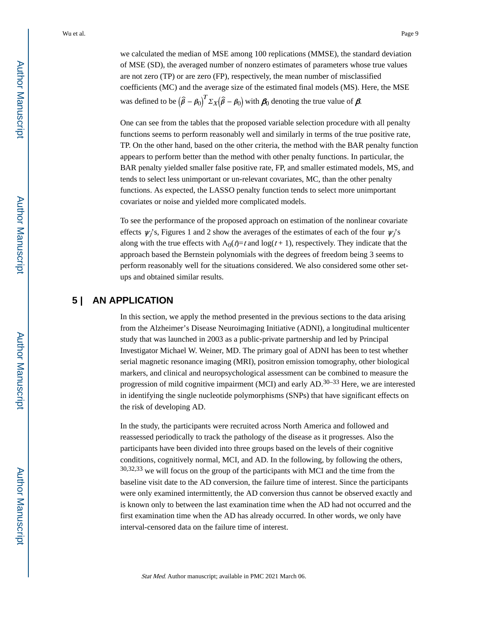we calculated the median of MSE among 100 replications (MMSE), the standard deviation of MSE (SD), the averaged number of nonzero estimates of parameters whose true values are not zero (TP) or are zero (FP), respectively, the mean number of misclassified coefficients (MC) and the average size of the estimated final models (MS). Here, the MSE was defined to be  $(\widehat{\beta}-\beta_0)^T \Sigma_X (\widehat{\beta}-\beta_0)$  with  $\boldsymbol{\beta}_0$  denoting the true value of  $\boldsymbol{\beta}$ .

One can see from the tables that the proposed variable selection procedure with all penalty functions seems to perform reasonably well and similarly in terms of the true positive rate, TP. On the other hand, based on the other criteria, the method with the BAR penalty function appears to perform better than the method with other penalty functions. In particular, the BAR penalty yielded smaller false positive rate, FP, and smaller estimated models, MS, and tends to select less unimportant or un-relevant covariates, MC, than the other penalty functions. As expected, the LASSO penalty function tends to select more unimportant covariates or noise and yielded more complicated models.

To see the performance of the proposed approach on estimation of the nonlinear covariate effects  $\psi_j$ 's, Figures 1 and 2 show the averages of the estimates of each of the four  $\psi_j$ 's along with the true effects with  $\Lambda_0(t)=t$  and  $\log(t+1)$ , respectively. They indicate that the approach based the Bernstein polynomials with the degrees of freedom being 3 seems to perform reasonably well for the situations considered. We also considered some other setups and obtained similar results.

#### **5 | AN APPLICATION**

In this section, we apply the method presented in the previous sections to the data arising from the Alzheimer's Disease Neuroimaging Initiative (ADNI), a longitudinal multicenter study that was launched in 2003 as a public-private partnership and led by Principal Investigator Michael W. Weiner, MD. The primary goal of ADNI has been to test whether serial magnetic resonance imaging (MRI), positron emission tomography, other biological markers, and clinical and neuropsychological assessment can be combined to measure the progression of mild cognitive impairment (MCI) and early AD.30–33 Here, we are interested in identifying the single nucleotide polymorphisms (SNPs) that have significant effects on the risk of developing AD.

In the study, the participants were recruited across North America and followed and reassessed periodically to track the pathology of the disease as it progresses. Also the participants have been divided into three groups based on the levels of their cognitive conditions, cognitively normal, MCI, and AD. In the following, by following the others, 30,32,33 we will focus on the group of the participants with MCI and the time from the baseline visit date to the AD conversion, the failure time of interest. Since the participants were only examined intermittently, the AD conversion thus cannot be observed exactly and is known only to between the last examination time when the AD had not occurred and the first examination time when the AD has already occurred. In other words, we only have interval-censored data on the failure time of interest.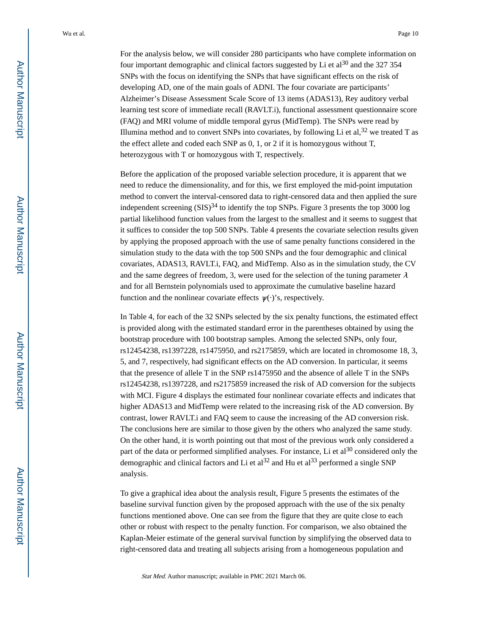For the analysis below, we will consider 280 participants who have complete information on four important demographic and clinical factors suggested by Li et  $al^{30}$  and the 327 354 SNPs with the focus on identifying the SNPs that have significant effects on the risk of developing AD, one of the main goals of ADNI. The four covariate are participants' Alzheimer's Disease Assessment Scale Score of 13 items (ADAS13), Rey auditory verbal learning test score of immediate recall (RAVLT.i), functional assessment questionnaire score (FAQ) and MRI volume of middle temporal gyrus (MidTemp). The SNPs were read by Illumina method and to convert SNPs into covariates, by following Li et al,  $32$  we treated T as the effect allete and coded each SNP as 0, 1, or 2 if it is homozygous without T, heterozygous with T or homozygous with T, respectively.

Before the application of the proposed variable selection procedure, it is apparent that we need to reduce the dimensionality, and for this, we first employed the mid-point imputation method to convert the interval-censored data to right-censored data and then applied the sure independent screening  $(SIS)^{34}$  to identify the top SNPs. Figure 3 presents the top 3000 log partial likelihood function values from the largest to the smallest and it seems to suggest that it suffices to consider the top 500 SNPs. Table 4 presents the covariate selection results given by applying the proposed approach with the use of same penalty functions considered in the simulation study to the data with the top 500 SNPs and the four demographic and clinical covariates, ADAS13, RAVLT.i, FAQ, and MidTemp. Also as in the simulation study, the CV and the same degrees of freedom, 3, were used for the selection of the tuning parameter  $\lambda$ and for all Bernstein polynomials used to approximate the cumulative baseline hazard function and the nonlinear covariate effects  $\psi(\cdot)$ 's, respectively.

In Table 4, for each of the 32 SNPs selected by the six penalty functions, the estimated effect is provided along with the estimated standard error in the parentheses obtained by using the bootstrap procedure with 100 bootstrap samples. Among the selected SNPs, only four, rs12454238, rs1397228, rs1475950, and rs2175859, which are located in chromosome 18, 3, 5, and 7, respectively, had significant effects on the AD conversion. In particular, it seems that the presence of allele T in the SNP rs1475950 and the absence of allele T in the SNPs rs12454238, rs1397228, and rs2175859 increased the risk of AD conversion for the subjects with MCI. Figure 4 displays the estimated four nonlinear covariate effects and indicates that higher ADAS13 and MidTemp were related to the increasing risk of the AD conversion. By contrast, lower RAVLT.i and FAQ seem to cause the increasing of the AD conversion risk. The conclusions here are similar to those given by the others who analyzed the same study. On the other hand, it is worth pointing out that most of the previous work only considered a part of the data or performed simplified analyses. For instance, Li et al<sup>30</sup> considered only the demographic and clinical factors and Li et  $al^{32}$  and Hu et  $al^{33}$  performed a single SNP analysis.

To give a graphical idea about the analysis result, Figure 5 presents the estimates of the baseline survival function given by the proposed approach with the use of the six penalty functions mentioned above. One can see from the figure that they are quite close to each other or robust with respect to the penalty function. For comparison, we also obtained the Kaplan-Meier estimate of the general survival function by simplifying the observed data to right-censored data and treating all subjects arising from a homogeneous population and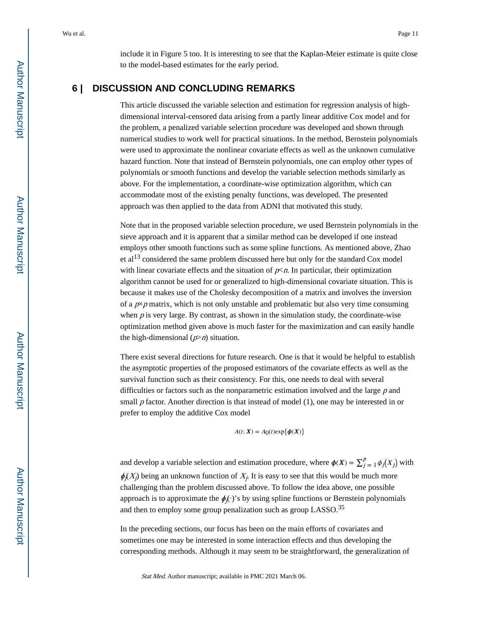include it in Figure 5 too. It is interesting to see that the Kaplan-Meier estimate is quite close to the model-based estimates for the early period.

#### **6 | DISCUSSION AND CONCLUDING REMARKS**

This article discussed the variable selection and estimation for regression analysis of highdimensional interval-censored data arising from a partly linear additive Cox model and for the problem, a penalized variable selection procedure was developed and shown through numerical studies to work well for practical situations. In the method, Bernstein polynomials were used to approximate the nonlinear covariate effects as well as the unknown cumulative hazard function. Note that instead of Bernstein polynomials, one can employ other types of polynomials or smooth functions and develop the variable selection methods similarly as above. For the implementation, a coordinate-wise optimization algorithm, which can accommodate most of the existing penalty functions, was developed. The presented approach was then applied to the data from ADNI that motivated this study.

Note that in the proposed variable selection procedure, we used Bernstein polynomials in the sieve approach and it is apparent that a similar method can be developed if one instead employs other smooth functions such as some spline functions. As mentioned above, Zhao et al<sup>13</sup> considered the same problem discussed here but only for the standard Cox model with linear covariate effects and the situation of  $p \times n$ . In particular, their optimization algorithm cannot be used for or generalized to high-dimensional covariate situation. This is because it makes use of the Cholesky decomposition of a matrix and involves the inversion of a  $p \times p$  matrix, which is not only unstable and problematic but also very time consuming when  $p$  is very large. By contrast, as shown in the simulation study, the coordinate-wise optimization method given above is much faster for the maximization and can easily handle the high-dimensional  $(p>n)$  situation.

There exist several directions for future research. One is that it would be helpful to establish the asymptotic properties of the proposed estimators of the covariate effects as well as the survival function such as their consistency. For this, one needs to deal with several difficulties or factors such as the nonparametric estimation involved and the large  $p$  and small  $p$  factor. Another direction is that instead of model  $(1)$ , one may be interested in or prefer to employ the additive Cox model

$$
\Lambda(t; \mathbf{X}) = \Lambda_0(t) \exp\{\boldsymbol{\phi}(\mathbf{X})\}
$$

and develop a variable selection and estimation procedure, where  $\phi(X) = \sum_{j=1}^{p} \phi_j(X_j)$  with  $\phi_j(X_j)$  being an unknown function of  $X_j$ . It is easy to see that this would be much more challenging than the problem discussed above. To follow the idea above, one possible approach is to approximate the  $\phi_j(\cdot)$ 's by using spline functions or Bernstein polynomials and then to employ some group penalization such as group LASSO.<sup>35</sup>

In the preceding sections, our focus has been on the main efforts of covariates and sometimes one may be interested in some interaction effects and thus developing the corresponding methods. Although it may seem to be straightforward, the generalization of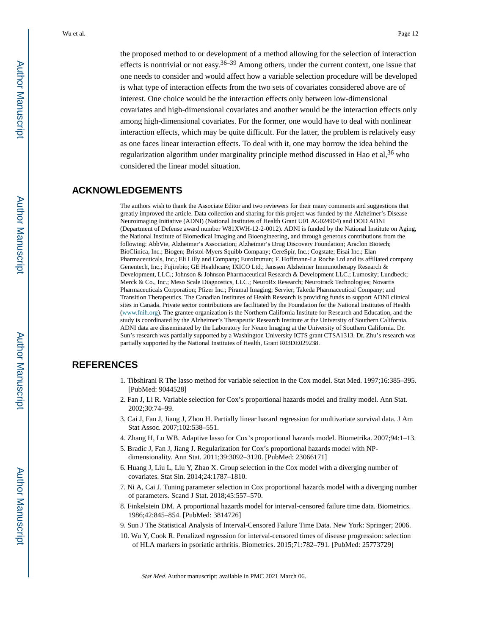the proposed method to or development of a method allowing for the selection of interaction effects is nontrivial or not easy.<sup>36–39</sup> Among others, under the current context, one issue that one needs to consider and would affect how a variable selection procedure will be developed is what type of interaction effects from the two sets of covariates considered above are of interest. One choice would be the interaction effects only between low-dimensional covariates and high-dimensional covariates and another would be the interaction effects only among high-dimensional covariates. For the former, one would have to deal with nonlinear interaction effects, which may be quite difficult. For the latter, the problem is relatively easy as one faces linear interaction effects. To deal with it, one may borrow the idea behind the regularization algorithm under marginality principle method discussed in Hao et al,<sup>36</sup> who considered the linear model situation.

### **ACKNOWLEDGEMENTS**

The authors wish to thank the Associate Editor and two reviewers for their many comments and suggestions that greatly improved the article. Data collection and sharing for this project was funded by the Alzheimer's Disease Neuroimaging Initiative (ADNI) (National Institutes of Health Grant U01 AG024904) and DOD ADNI (Department of Defense award number W81XWH-12-2-0012). ADNI is funded by the National Institute on Aging, the National Institute of Biomedical Imaging and Bioengineering, and through generous contributions from the following: AbbVie, Alzheimer's Association; Alzheimer's Drug Discovery Foundation; Araclon Biotech; BioClinica, Inc.; Biogen; Bristol-Myers Squibb Company; CereSpir, Inc.; Cogstate; Eisai Inc.; Elan Pharmaceuticals, Inc.; Eli Lilly and Company; EuroImmun; F. Hoffmann-La Roche Ltd and its affiliated company Genentech, Inc.; Fujirebio; GE Healthcare; IXICO Ltd.; Janssen Alzheimer Immunotherapy Research & Development, LLC.; Johnson & Johnson Pharmaceutical Research & Development LLC.; Lumosity; Lundbeck; Merck & Co., Inc.; Meso Scale Diagnostics, LLC.; NeuroRx Research; Neurotrack Technologies; Novartis Pharmaceuticals Corporation; Pfizer Inc.; Piramal Imaging; Servier; Takeda Pharmaceutical Company; and Transition Therapeutics. The Canadian Institutes of Health Research is providing funds to support ADNI clinical sites in Canada. Private sector contributions are facilitated by the Foundation for the National Institutes of Health ([www.fnih.org\)](http://www.fnih.org). The grantee organization is the Northern California Institute for Research and Education, and the study is coordinated by the Alzheimer's Therapeutic Research Institute at the University of Southern California. ADNI data are disseminated by the Laboratory for Neuro Imaging at the University of Southern California. Dr. Sun's research was partially supported by a Washington University ICTS grant CTSA1313. Dr. Zhu's research was partially supported by the National Institutes of Health, Grant R03DE029238.

#### **REFERENCES**

- 1. Tibshirani R The lasso method for variable selection in the Cox model. Stat Med. 1997;16:385–395. [PubMed: 9044528]
- 2. Fan J, Li R. Variable selection for Cox's proportional hazards model and frailty model. Ann Stat. 2002;30:74–99.
- 3. Cai J, Fan J, Jiang J, Zhou H. Partially linear hazard regression for multivariate survival data. J Am Stat Assoc. 2007;102:538–551.
- 4. Zhang H, Lu WB. Adaptive lasso for Cox's proportional hazards model. Biometrika. 2007;94:1–13.
- 5. Bradic J, Fan J, Jiang J. Regularization for Cox's proportional hazards model with NPdimensionality. Ann Stat. 2011;39:3092–3120. [PubMed: 23066171]
- 6. Huang J, Liu L, Liu Y, Zhao X. Group selection in the Cox model with a diverging number of covariates. Stat Sin. 2014;24:1787–1810.
- 7. Ni A, Cai J. Tuning parameter selection in Cox proportional hazards model with a diverging number of parameters. Scand J Stat. 2018;45:557–570.
- 8. Finkelstein DM. A proportional hazards model for interval-censored failure time data. Biometrics. 1986;42:845–854. [PubMed: 3814726]
- 9. Sun J The Statistical Analysis of Interval-Censored Failure Time Data. New York: Springer; 2006.
- 10. Wu Y, Cook R. Penalized regression for interval-censored times of disease progression: selection of HLA markers in psoriatic arthritis. Biometrics. 2015;71:782–791. [PubMed: 25773729]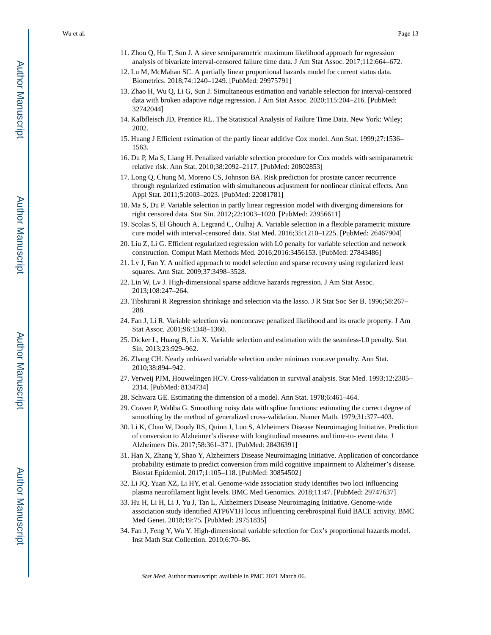- 11. Zhou Q, Hu T, Sun J. A sieve semiparametric maximum likelihood approach for regression analysis of bivariate interval-censored failure time data. J Am Stat Assoc. 2017;112:664–672.
- 12. Lu M, McMahan SC. A partially linear proportional hazards model for current status data. Biometrics. 2018;74:1240–1249. [PubMed: 29975791]
- 13. Zhao H, Wu Q, Li G, Sun J. Simultaneous estimation and variable selection for interval-censored data with broken adaptive ridge regression. J Am Stat Assoc. 2020;115:204–216. [PubMed: 32742044]
- 14. Kalbfleisch JD, Prentice RL. The Statistical Analysis of Failure Time Data. New York: Wiley; 2002.
- 15. Huang J Efficient estimation of the partly linear additive Cox model. Ann Stat. 1999;27:1536– 1563.
- 16. Du P, Ma S, Liang H. Penalized variable selection procedure for Cox models with semiparametric relative risk. Ann Stat. 2010;38:2092–2117. [PubMed: 20802853]
- 17. Long Q, Chung M, Moreno CS, Johnson BA. Risk prediction for prostate cancer recurrence through regularized estimation with simultaneous adjustment for nonlinear clinical effects. Ann Appl Stat. 2011;5:2003–2023. [PubMed: 22081781]
- 18. Ma S, Du P. Variable selection in partly linear regression model with diverging dimensions for right censored data. Stat Sin. 2012;22:1003–1020. [PubMed: 23956611]
- 19. Scolas S, El Ghouch A, Legrand C, Oulhaj A. Variable selection in a flexible parametric mixture cure model with interval-censored data. Stat Med. 2016;35:1210–1225. [PubMed: 26467904]
- 20. Liu Z, Li G. Efficient regularized regression with L0 penalty for variable selection and network construction. Comput Math Methods Med. 2016;2016:3456153. [PubMed: 27843486]
- 21. Lv J, Fan Y. A unified approach to model selection and sparse recovery using regularized least squares. Ann Stat. 2009;37:3498–3528.
- 22. Lin W, Lv J. High-dimensional sparse additive hazards regression. J Am Stat Assoc. 2013;108:247–264.
- 23. Tibshirani R Regression shrinkage and selection via the lasso. J R Stat Soc Ser B. 1996;58:267– 288.
- 24. Fan J, Li R. Variable selection via nonconcave penalized likelihood and its oracle property. J Am Stat Assoc. 2001;96:1348–1360.
- 25. Dicker L, Huang B, Lin X. Variable selection and estimation with the seamless-L0 penalty. Stat Sin. 2013;23:929–962.
- 26. Zhang CH. Nearly unbiased variable selection under minimax concave penalty. Ann Stat. 2010;38:894–942.
- 27. Verweij PJM, Houwelingen HCV. Cross-validation in survival analysis. Stat Med. 1993;12:2305– 2314. [PubMed: 8134734]
- 28. Schwarz GE. Estimating the dimension of a model. Ann Stat. 1978;6:461–464.
- 29. Craven P, Wahba G. Smoothing noisy data with spline functions: estimating the correct degree of smoothing by the method of generalized cross-validation. Numer Math. 1979;31:377–403.
- 30. Li K, Chan W, Doody RS, Quinn J, Luo S, Alzheimers Disease Neuroimaging Initiative. Prediction of conversion to Alzheimer's disease with longitudinal measures and time-to- event data. J Alzheimers Dis. 2017;58:361–371. [PubMed: 28436391]
- 31. Han X, Zhang Y, Shao Y, Alzheimers Disease Neuroimaging Initiative. Application of concordance probability estimate to predict conversion from mild cognitive impairment to Alzheimer's disease. Biostat Epidemiol. 2017;1:105–118. [PubMed: 30854502]
- 32. Li JQ, Yuan XZ, Li HY, et al. Genome-wide association study identifies two loci influencing plasma neurofilament light levels. BMC Med Genomics. 2018;11:47. [PubMed: 29747637]
- 33. Hu H, Li H, Li J, Yu J, Tan L, Alzheimers Disease Neuroimaging Initiative. Genome-wide association study identified ATP6V1H locus influencing cerebrospinal fluid BACE activity. BMC Med Genet. 2018;19:75. [PubMed: 29751835]
- 34. Fan J, Feng Y, Wu Y. High-dimensional variable selection for Cox's proportional hazards model. Inst Math Stat Collection. 2010;6:70–86.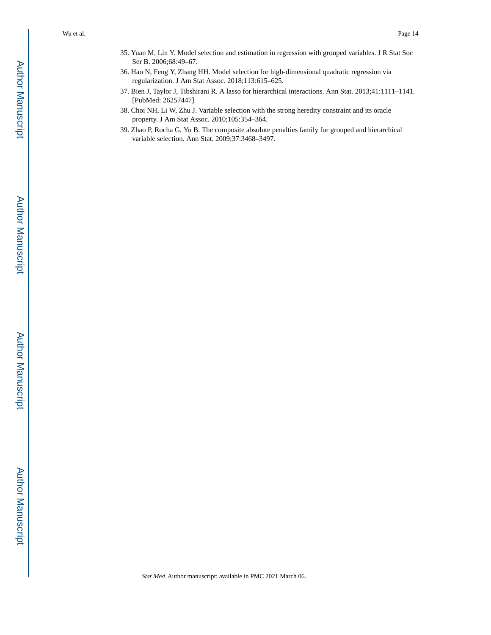- 35. Yuan M, Lin Y. Model selection and estimation in regression with grouped variables. J R Stat Soc Ser B. 2006;68:49–67.
- 36. Hao N, Feng Y, Zhang HH. Model selection for high-dimensional quadratic regression via regularization. J Am Stat Assoc. 2018;113:615–625.
- 37. Bien J, Taylor J, Tibshirani R. A lasso for hierarchical interactions. Ann Stat. 2013;41:1111–1141. [PubMed: 26257447]
- 38. Choi NH, Li W, Zhu J. Variable selection with the strong heredity constraint and its oracle property. J Am Stat Assoc. 2010;105:354–364.
- 39. Zhao P, Rocha G, Yu B. The composite absolute penalties family for grouped and hierarchical variable selection. Ann Stat. 2009;37:3468–3497.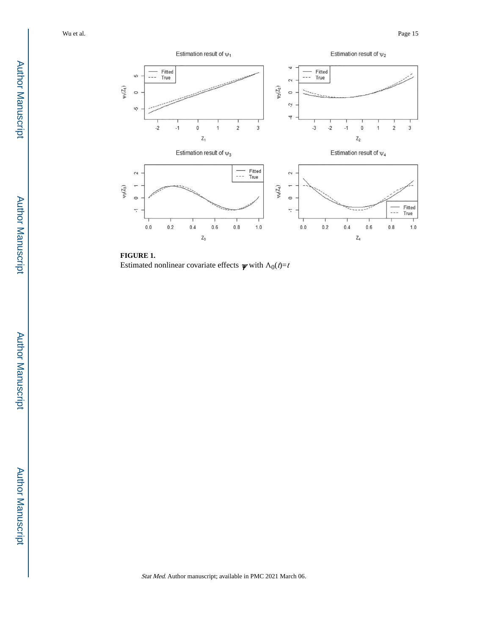

**FIGURE 1.**  Estimated nonlinear covariate effects  $\psi$  with  $\Lambda_0(t)=t$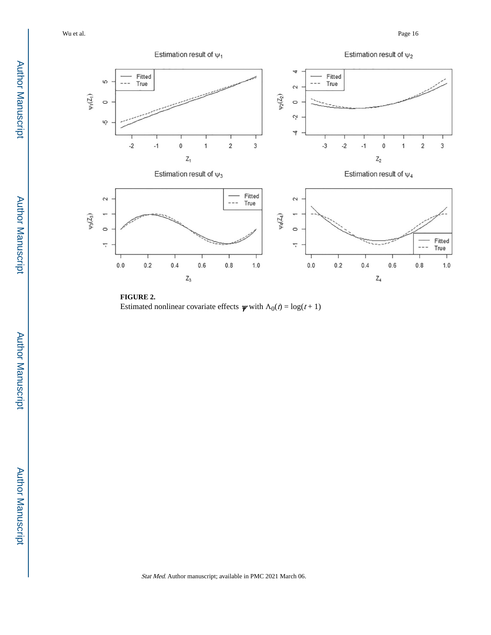

**FIGURE 2.**  Estimated nonlinear covariate effects  $\psi$  with  $\Lambda_0(t) = \log(t+1)$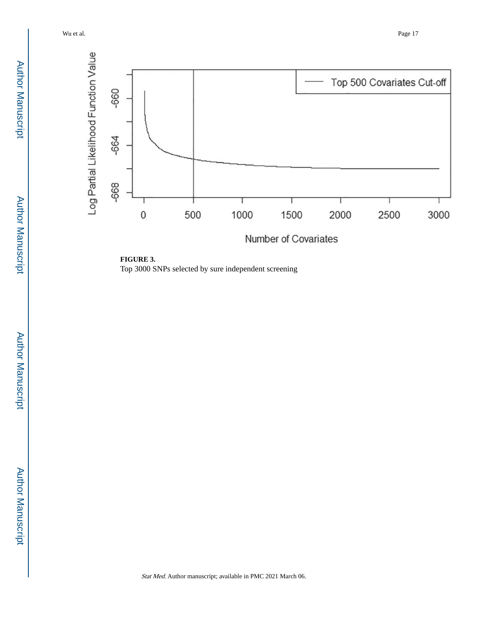Wu et al. Page 17



**FIGURE 3.**  Top 3000 SNPs selected by sure independent screening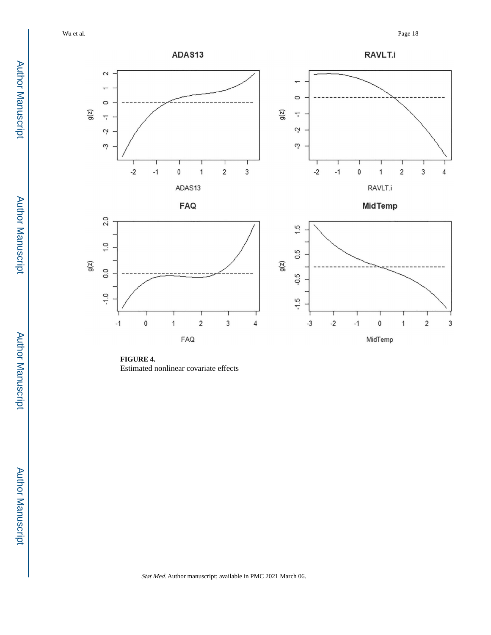Wu et al. Page 18



**FIGURE 4.**  Estimated nonlinear covariate effects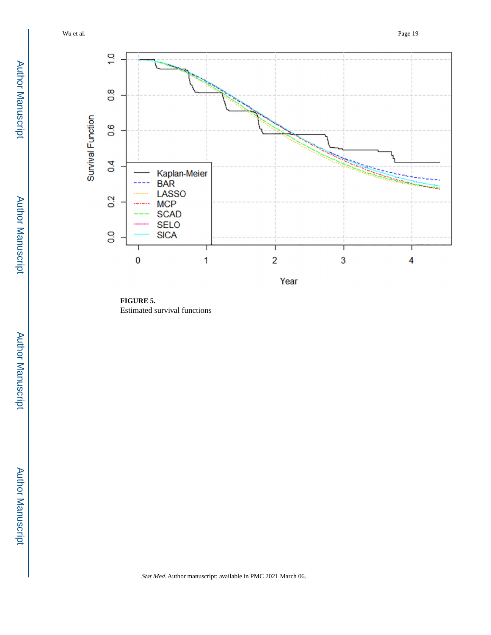Wu et al. Page 19



Year

**FIGURE 5.**  Estimated survival functions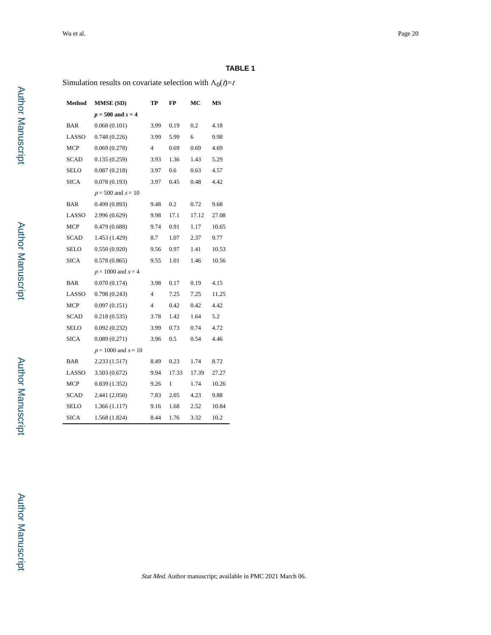Simulation results on covariate selection with  $\Lambda_0(t)=t$ 

| Method      | <b>MMSE</b> (SD)<br>TP  |                | FP    | MC    | MS    |  |
|-------------|-------------------------|----------------|-------|-------|-------|--|
|             | $p = 500$ and $s = 4$   |                |       |       |       |  |
| <b>BAR</b>  | 0.068(0.101)            | 3.99           | 0.19  | 0.2   | 4.18  |  |
| LASSO       | 0.748(0.226)            | 3.99           | 5.99  | 6     | 9.98  |  |
| <b>MCP</b>  | 0.069(0.278)            | $\overline{4}$ | 0.69  | 0.69  | 4.69  |  |
| <b>SCAD</b> | 0.135(0.259)            | 3.93           | 1.36  | 1.43  | 5.29  |  |
| <b>SELO</b> | 0.087(0.218)            | 3.97           | 0.6   | 0.63  | 4.57  |  |
| <b>SICA</b> | 0.078(0.193)            | 3.97           | 0.45  | 0.48  | 4.42  |  |
|             | $p = 500$ and $s = 10$  |                |       |       |       |  |
| <b>BAR</b>  | 0.499(0.893)            | 9.48           | 0.2   | 0.72  | 9.68  |  |
| LASSO       | 2.996 (0.629)           | 9.98           | 17.1  | 17.12 | 27.08 |  |
| <b>MCP</b>  | 0.479(0.688)            | 9.74           | 0.91  | 1.17  | 10.65 |  |
| <b>SCAD</b> | 1.453 (1.429)           | 8.7            | 1.07  | 2.37  | 9.77  |  |
| <b>SELO</b> | 0.550(0.920)            | 9.56           | 0.97  | 1.41  | 10.53 |  |
| <b>SICA</b> | 0.578(0.865)            | 9.55           | 1.01  | 1.46  | 10.56 |  |
|             | $p = 1000$ and $s = 4$  |                |       |       |       |  |
| BAR         | 0.070(0.174)            | 3.98           | 0.17  | 0.19  | 4.15  |  |
| LASSO       | 0.798(0.243)            | $\overline{4}$ | 7.25  | 7.25  | 11.25 |  |
| <b>MCP</b>  | 0.097(0.151)            | $\overline{4}$ | 0.42  | 0.42  | 4.42  |  |
| <b>SCAD</b> | 0.218(0.535)            | 3.78           | 1.42  | 1.64  | 5.2   |  |
| <b>SELO</b> | 0.092(0.232)            | 3.99           | 0.73  | 0.74  | 4.72  |  |
| <b>SICA</b> | 0.089(0.271)            | 3.96           | 0.5   | 0.54  | 4.46  |  |
|             | $p = 1000$ and $s = 10$ |                |       |       |       |  |
| BAR         | 2.233 (1.517)           | 8.49           | 0.23  | 1.74  | 8.72  |  |
| LASSO       | 3.503 (0.672)           | 9.94           | 17.33 | 17.39 | 27.27 |  |
| <b>MCP</b>  | 0.839(1.352)            | 9.26           | 1     | 1.74  | 10.26 |  |
| <b>SCAD</b> | 2.441 (2.050)           | 7.83           | 2.05  | 4.23  | 9.88  |  |
| <b>SELO</b> | 1.366 (1.117)           | 9.16           | 1.68  | 2.52  | 10.84 |  |
| <b>SICA</b> | 1.568 (1.824)           | 8.44           | 1.76  | 3.32  | 10.2  |  |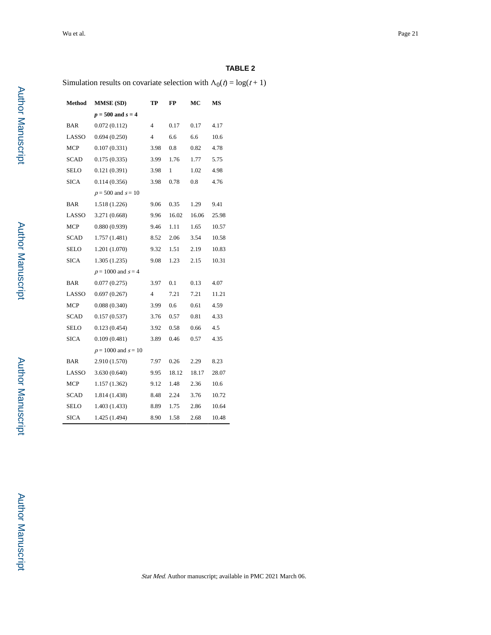Simulation results on covariate selection with  $\Lambda_0(t) = \log(t + 1)$ 

| Method      | <b>MMSE</b> (SD)        | TP             | FP    | MС    | MS    |
|-------------|-------------------------|----------------|-------|-------|-------|
|             | $p = 500$ and $s = 4$   |                |       |       |       |
| <b>BAR</b>  | 0.072(0.112)            | $\overline{4}$ | 0.17  | 0.17  | 4.17  |
| LASSO       | 0.694(0.250)            | $\overline{4}$ | 6.6   | 6.6   | 10.6  |
| <b>MCP</b>  | 0.107(0.331)            | 3.98           | 0.8   | 0.82  | 4.78  |
| <b>SCAD</b> | 0.175(0.335)            | 3.99           | 1.76  | 1.77  | 5.75  |
| <b>SELO</b> | 0.121(0.391)            | 3.98           | 1     | 1.02  | 4.98  |
| <b>SICA</b> | 0.114(0.356)            | 3.98           | 0.78  | 0.8   | 4.76  |
|             | $p = 500$ and $s = 10$  |                |       |       |       |
| BAR         | 1.518 (1.226)           | 9.06           | 0.35  | 1.29  | 9.41  |
| LASSO       | 3.271 (0.668)           | 9.96           | 16.02 | 16.06 | 25.98 |
| <b>MCP</b>  | 0.880(0.939)            | 9.46           | 1.11  | 1.65  | 10.57 |
| <b>SCAD</b> | 1.757 (1.481)           | 8.52           | 2.06  | 3.54  | 10.58 |
| <b>SELO</b> | 1.201 (1.070)           | 9.32           | 1.51  | 2.19  | 10.83 |
| <b>SICA</b> | 1.305(1.235)            | 9.08           | 1.23  | 2.15  | 10.31 |
|             | $p = 1000$ and $s = 4$  |                |       |       |       |
| BAR         | 0.077(0.275)            | 3.97           | 0.1   | 0.13  | 4.07  |
| LASSO       | 0.697(0.267)            | 4              | 7.21  | 7.21  | 11.21 |
| <b>MCP</b>  | 0.088(0.340)            | 3.99           | 0.6   | 0.61  | 4.59  |
| <b>SCAD</b> | 0.157(0.537)            | 3.76           | 0.57  | 0.81  | 4.33  |
| <b>SELO</b> | 0.123(0.454)            | 3.92           | 0.58  | 0.66  | 4.5   |
| <b>SICA</b> | 0.109(0.481)            | 3.89           | 0.46  | 0.57  | 4.35  |
|             | $p = 1000$ and $s = 10$ |                |       |       |       |
| BAR         | 2.910 (1.570)           | 7.97           | 0.26  | 2.29  | 8.23  |
| LASSO       | 3.630(0.640)            | 9.95           | 18.12 | 18.17 | 28.07 |
| <b>MCP</b>  | 1.157 (1.362)           | 9.12           | 1.48  | 2.36  | 10.6  |
| SCAD        | 1.814 (1.438)           | 8.48           | 2.24  | 3.76  | 10.72 |
| SELO        | 1.403 (1.433)           | 8.89           | 1.75  | 2.86  | 10.64 |
| <b>SICA</b> | 1.425 (1.494)           | 8.90           | 1.58  | 2.68  | 10.48 |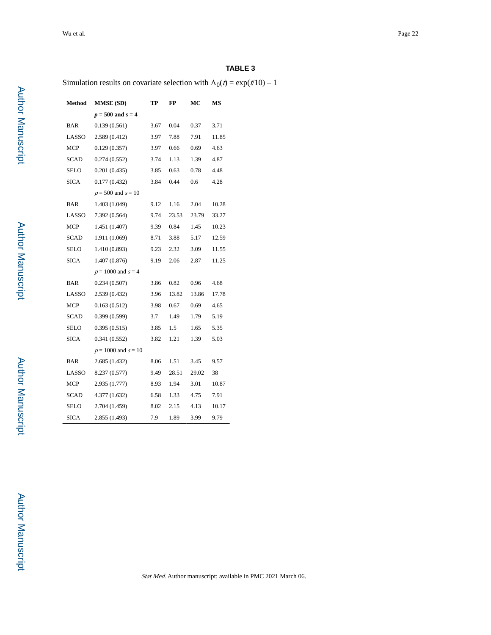Simulation results on covariate selection with  $\Lambda_0(t) = \exp(t/10) - 1$ 

| Method      | <b>MMSE</b> (SD)        | TP   | FP    | MС    | MS    |  |
|-------------|-------------------------|------|-------|-------|-------|--|
|             | $p = 500$ and $s = 4$   |      |       |       |       |  |
| <b>BAR</b>  | 0.139(0.561)            | 3.67 | 0.04  | 0.37  | 3.71  |  |
| LASSO       | 2.589 (0.412)           | 3.97 | 7.88  | 7.91  | 11.85 |  |
| <b>MCP</b>  | 0.129(0.357)            | 3.97 | 0.66  | 0.69  | 4.63  |  |
| <b>SCAD</b> | 0.274(0.552)            | 3.74 | 1.13  | 1.39  | 4.87  |  |
| <b>SELO</b> | 0.201(0.435)            | 3.85 | 0.63  | 0.78  | 4.48  |  |
| <b>SICA</b> | 0.177(0.432)            | 3.84 | 0.44  | 0.6   | 4.28  |  |
|             | $p = 500$ and $s = 10$  |      |       |       |       |  |
| BAR         | 1.403 (1.049)           | 9.12 | 1.16  | 2.04  | 10.28 |  |
| LASSO       | 7.392 (0.564)           | 9.74 | 23.53 | 23.79 | 33.27 |  |
| <b>MCP</b>  | 1.451 (1.407)           | 9.39 | 0.84  | 1.45  | 10.23 |  |
| <b>SCAD</b> | 1.911 (1.069)           | 8.71 | 3.88  | 5.17  | 12.59 |  |
| <b>SELO</b> | 1.410 (0.893)           | 9.23 | 2.32  | 3.09  | 11.55 |  |
| <b>SICA</b> | 1.407(0.876)            | 9.19 | 2.06  | 2.87  | 11.25 |  |
|             | $p = 1000$ and $s = 4$  |      |       |       |       |  |
| BAR         | 0.234(0.507)            | 3.86 | 0.82  | 0.96  | 4.68  |  |
| LASSO       | 2.539 (0.432)           | 3.96 | 13.82 | 13.86 | 17.78 |  |
| <b>MCP</b>  | 0.163(0.512)            | 3.98 | 0.67  | 0.69  | 4.65  |  |
| <b>SCAD</b> | 0.399(0.599)            | 3.7  | 1.49  | 1.79  | 5.19  |  |
| SELO        | 0.395(0.515)            | 3.85 | 1.5   | 1.65  | 5.35  |  |
| <b>SICA</b> | 0.341(0.552)            | 3.82 | 1.21  | 1.39  | 5.03  |  |
|             | $p = 1000$ and $s = 10$ |      |       |       |       |  |
| <b>BAR</b>  | 2.685 (1.432)           | 8.06 | 1.51  | 3.45  | 9.57  |  |
| LASSO       | 8.237 (0.577)           | 9.49 | 28.51 | 29.02 | 38    |  |
| <b>MCP</b>  | 2.935 (1.777)           | 8.93 | 1.94  | 3.01  | 10.87 |  |
| SCAD        | 4.377 (1.632)           | 6.58 | 1.33  | 4.75  | 7.91  |  |
| SELO        | 2.704 (1.459)           | 8.02 | 2.15  | 4.13  | 10.17 |  |
| <b>SICA</b> | 2.855 (1.493)           | 7.9  | 1.89  | 3.99  | 9.79  |  |